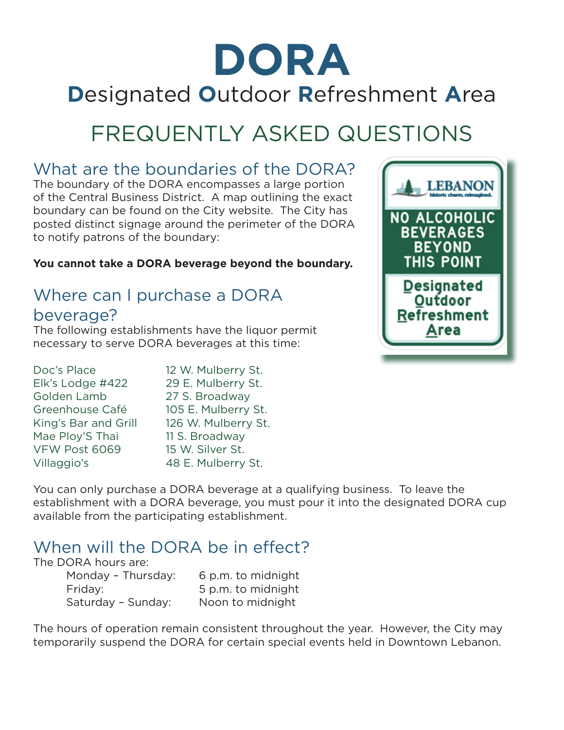# **DORA D**esignated **O**utdoor **R**efreshment **A**rea

## FREQUENTLY ASKED QUESTIONS

#### What are the boundaries of the DORA?

The boundary of the DORA encompasses a large portion of the Central Business District. A map outlining the exact boundary can be found on the City website. The City has posted distinct signage around the perimeter of the DORA to notify patrons of the boundary:

**You cannot take a DORA beverage beyond the boundary.**

### Where can I purchase a DORA beverage?

The following establishments have the liquor permit necessary to serve DORA beverages at this time:

| Doc's Place          | 12 W. Mulberry St.  |
|----------------------|---------------------|
| Elk's Lodge #422     | 29 E. Mulberry St.  |
| Golden Lamb          | 27 S. Broadway      |
| Greenhouse Café      | 105 E. Mulberry St. |
| King's Bar and Grill | 126 W. Mulberry St. |
| Mae Ploy'S Thai      | 11 S. Broadway      |
| VFW Post 6069        | 15 W. Silver St.    |
| Villaggio's          | 48 E. Mulberry St.  |

You can only purchase a DORA beverage at a qualifying business. To leave the establishment with a DORA beverage, you must pour it into the designated DORA cup available from the participating establishment.

#### When will the DORA be in effect?

#### The DORA hours are:

Monday - Thursday: 6 p.m. to midnight Friday: 5 p.m. to midnight Saturday – Sunday: Noon to midnight

The hours of operation remain consistent throughout the year. However, the City may temporarily suspend the DORA for certain special events held in Downtown Lebanon.